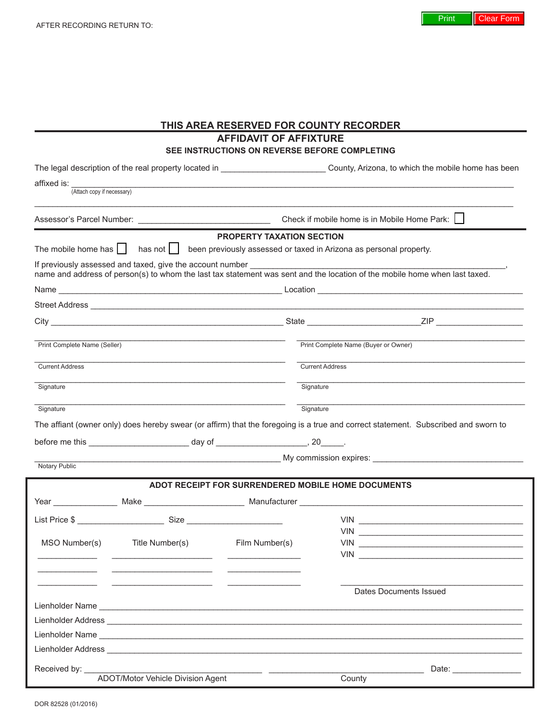| THIS AREA RESERVED FOR COUNTY RECORDER    |                                                                                                                                                                                                                                         |                                                    |                        |            |                                                                                                                                         |  |
|-------------------------------------------|-----------------------------------------------------------------------------------------------------------------------------------------------------------------------------------------------------------------------------------------|----------------------------------------------------|------------------------|------------|-----------------------------------------------------------------------------------------------------------------------------------------|--|
|                                           |                                                                                                                                                                                                                                         | <b>AFFIDAVIT OF AFFIXTURE</b>                      |                        |            |                                                                                                                                         |  |
|                                           |                                                                                                                                                                                                                                         | SEE INSTRUCTIONS ON REVERSE BEFORE COMPLETING      |                        |            |                                                                                                                                         |  |
|                                           |                                                                                                                                                                                                                                         |                                                    |                        |            | The legal description of the real property located in _______________________________County, Arizona, to which the mobile home has been |  |
| affixed is:<br>(Attach copy if necessary) |                                                                                                                                                                                                                                         |                                                    |                        |            |                                                                                                                                         |  |
|                                           |                                                                                                                                                                                                                                         |                                                    |                        |            | Check if mobile home is in Mobile Home Park:                                                                                            |  |
|                                           |                                                                                                                                                                                                                                         | <b>PROPERTY TAXATION SECTION</b>                   |                        |            |                                                                                                                                         |  |
|                                           | The mobile home has $\vert \vert$ has not $\vert \vert$ been previously assessed or taxed in Arizona as personal property.                                                                                                              |                                                    |                        |            |                                                                                                                                         |  |
|                                           | If previously assessed and taxed, give the account number ______________________                                                                                                                                                        |                                                    |                        |            | name and address of person(s) to whom the last tax statement was sent and the location of the mobile home when last taxed.              |  |
|                                           |                                                                                                                                                                                                                                         |                                                    |                        |            |                                                                                                                                         |  |
|                                           |                                                                                                                                                                                                                                         |                                                    |                        |            |                                                                                                                                         |  |
|                                           |                                                                                                                                                                                                                                         |                                                    |                        |            |                                                                                                                                         |  |
| Print Complete Name (Seller)              |                                                                                                                                                                                                                                         | Print Complete Name (Buyer or Owner)               |                        |            |                                                                                                                                         |  |
| <b>Current Address</b>                    |                                                                                                                                                                                                                                         |                                                    | <b>Current Address</b> |            |                                                                                                                                         |  |
| Signature                                 |                                                                                                                                                                                                                                         |                                                    | Signature              |            |                                                                                                                                         |  |
|                                           |                                                                                                                                                                                                                                         |                                                    |                        |            |                                                                                                                                         |  |
| Signature                                 |                                                                                                                                                                                                                                         |                                                    | Signature              |            |                                                                                                                                         |  |
|                                           |                                                                                                                                                                                                                                         |                                                    |                        |            | The affiant (owner only) does hereby swear (or affirm) that the foregoing is a true and correct statement. Subscribed and sworn to      |  |
|                                           |                                                                                                                                                                                                                                         |                                                    |                        |            |                                                                                                                                         |  |
| <b>Notary Public</b>                      |                                                                                                                                                                                                                                         |                                                    |                        |            | My commission expires: <b>Commission Expires</b> My commission expires:                                                                 |  |
|                                           |                                                                                                                                                                                                                                         | ADOT RECEIPT FOR SURRENDERED MOBILE HOME DOCUMENTS |                        |            |                                                                                                                                         |  |
|                                           |                                                                                                                                                                                                                                         |                                                    |                        |            |                                                                                                                                         |  |
|                                           |                                                                                                                                                                                                                                         |                                                    |                        |            |                                                                                                                                         |  |
|                                           |                                                                                                                                                                                                                                         |                                                    |                        | <b>VIN</b> | and the contract of the contract of the contract of the contract of the contract of the                                                 |  |
| MSO Number(s)                             | Title Number(s)                                                                                                                                                                                                                         | Film Number(s)                                     |                        |            |                                                                                                                                         |  |
|                                           |                                                                                                                                                                                                                                         |                                                    |                        |            |                                                                                                                                         |  |
|                                           | the control of the control of the control of the control of the control of                                                                                                                                                              |                                                    |                        |            |                                                                                                                                         |  |
|                                           |                                                                                                                                                                                                                                         |                                                    | Dates Documents Issued |            |                                                                                                                                         |  |
|                                           |                                                                                                                                                                                                                                         |                                                    |                        |            |                                                                                                                                         |  |
|                                           |                                                                                                                                                                                                                                         |                                                    |                        |            |                                                                                                                                         |  |
|                                           | Lienholder Name Later and Contract and Contract and Contract and Contract and Contract and Contract and Contract and<br>Lienholder Address <b>Communication and Communication</b> and Communication and Communication and Communication |                                                    |                        |            |                                                                                                                                         |  |
|                                           |                                                                                                                                                                                                                                         |                                                    |                        |            |                                                                                                                                         |  |
| Received by:                              | ADOT/Motor Vehicle Division Agent                                                                                                                                                                                                       |                                                    |                        | County     | Date: ________________                                                                                                                  |  |
|                                           |                                                                                                                                                                                                                                         |                                                    |                        |            |                                                                                                                                         |  |